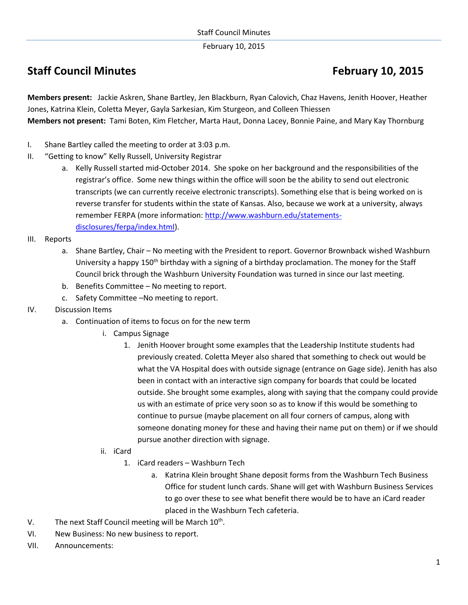February 10, 2015

## **Staff Council Minutes <b>February** 10, 2015

**Members present:** Jackie Askren, Shane Bartley, Jen Blackburn, Ryan Calovich, Chaz Havens, Jenith Hoover, Heather Jones, Katrina Klein, Coletta Meyer, Gayla Sarkesian, Kim Sturgeon, and Colleen Thiessen **Members not present:** Tami Boten, Kim Fletcher, Marta Haut, Donna Lacey, Bonnie Paine, and Mary Kay Thornburg

- I. Shane Bartley called the meeting to order at 3:03 p.m.
- II. "Getting to know" Kelly Russell, University Registrar
	- a. Kelly Russell started mid-October 2014. She spoke on her background and the responsibilities of the registrar's office. Some new things within the office will soon be the ability to send out electronic transcripts (we can currently receive electronic transcripts). Something else that is being worked on is reverse transfer for students within the state of Kansas. Also, because we work at a university, always remember FERPA (more information: [http://www.washburn.edu/statements](http://www.washburn.edu/statements-disclosures/ferpa/index.html)[disclosures/ferpa/index.html\)](http://www.washburn.edu/statements-disclosures/ferpa/index.html).
- III. Reports
	- a. Shane Bartley, Chair No meeting with the President to report. Governor Brownback wished Washburn University a happy 150<sup>th</sup> birthday with a signing of a birthday proclamation. The money for the Staff Council brick through the Washburn University Foundation was turned in since our last meeting.
	- b. Benefits Committee No meeting to report.
	- c. Safety Committee –No meeting to report.
- IV. Discussion Items
	- a. Continuation of items to focus on for the new term
		- i. Campus Signage
			- 1. Jenith Hoover brought some examples that the Leadership Institute students had previously created. Coletta Meyer also shared that something to check out would be what the VA Hospital does with outside signage (entrance on Gage side). Jenith has also been in contact with an interactive sign company for boards that could be located outside. She brought some examples, along with saying that the company could provide us with an estimate of price very soon so as to know if this would be something to continue to pursue (maybe placement on all four corners of campus, along with someone donating money for these and having their name put on them) or if we should pursue another direction with signage.
		- ii. iCard
			- 1. iCard readers Washburn Tech
				- a. Katrina Klein brought Shane deposit forms from the Washburn Tech Business Office for student lunch cards. Shane will get with Washburn Business Services to go over these to see what benefit there would be to have an iCard reader placed in the Washburn Tech cafeteria.
- V. The next Staff Council meeting will be March 10<sup>th</sup>.
- VI. New Business: No new business to report.
- VII. Announcements: